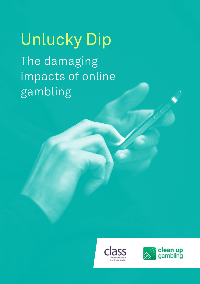# Unlucky Dip

The damaging impacts of online gambling



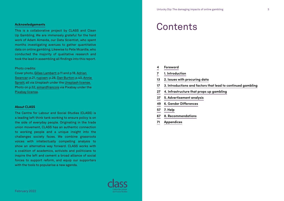#### **Acknowledgements**

This is a collaborative project by CLASS and Clean Up Gambling. We are immensely grateful for the hard work of Adam Almeida, our Data Scientist, who spent months investigating avenues to gather quantitative data on online gambling. Likewise to [Pete Mcardle,](mailto:pete.mcardle@classonline.org.uk) who conducted the majority of qualitative research and took the lead in assembling all findings into this report.

#### Photo credits:

Cover photo, [Gilles Lambert;](https://unsplash.com/@gilleslambert?utm_source=unsplash&utm_medium=referral&utm_content=creditCopyText) p.11 and p.18, [Adrian](https://unsplash.com/@a_d_s_w?utm_source=unsplash&utm_medium=referral&utm_content=creditCopyText)  [Swancar](https://unsplash.com/@a_d_s_w?utm_source=unsplash&utm_medium=referral&utm_content=creditCopyText); p.21, [rupixen](https://unsplash.com/photos/Q59HmzK38eQ); p.28, [Dan Burton;](https://unsplash.com/photos/a3ZPrBdMCoY) p.40, [Annie](https://unsplash.com/photos/d_mzrEx6yt)  [Spratt;](https://unsplash.com/photos/d_mzrEx6yt) all via Unsplash under the [Unsplash license.](https://unsplash.com/license) Photo on p.52, [simardfrancois](https://pixabay.com/photos/cell-woman-night-smartphone-mobile-4480577/) via Pixabay under the P[ixabay license.](https://pixabay.com/service/license/)

#### **About CLASS**

The Centre for Labour and Social Studies (CLASS) is a leading left think tank working to ensure policy is on the side of everyday people. Originating in the trade union movement, CLASS has an authentic connection to working people and a unique insight into the challenges society faces. We combine grassroots voices with intellectually compelling analysis to show an alternative way forward. CLASS works with a coalition of academics, activists and politicians to inspire the left and cement a broad alliance of social forces to support reform, and equip our supporters with the tools to popularise a new agenda.

#### **Contents**

- **[4](#page-2-0) [Foreword](#page-2-0)**
- **[7](#page-3-0) 1. [Introduction](#page-3-0)**
- **[13](#page-6-0) 2. Issues with procuring dat[a](#page-6-0)**
- **[17](#page-8-0) 3. Introductions and factors that lead to continued gambling**
- **[27](#page-13-0) [4. Infrastructure that props up gambling](#page-13-0)**
- **[37](#page-18-0) [5. Advertisement analysis](#page-18-0)**
- **[49](#page-24-0) [6. Gender Differences](#page-24-0)**
- **[57](#page-28-0) [7. Help](#page-28-0)**
- **[67](#page-33-0) [8. Recommendations](#page-33-0)**
- **[71](#page-35-0) [Appendices](#page-35-0)**

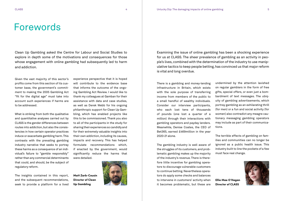#### <span id="page-2-0"></span>Forewords

Clean Up Gambling asked the Centre for Labour and Social Studies to explore in depth some of the motivations and consequences for those whose engagement with online gambling had subsequently led to harm and addiction.

Given the vast majority of this sector's profits come from this section of its customer base, the government's commitment to making the 2005 Gambling Act "fit for the digital age" must take into account such experiences if harms are to be addressed.

What is striking from both the qualitative and quantitative analyses carried out by CLASS is the gender differences between routes into addiction, but also the consistencies in how certain operator practices induce or exacerbate gambling harm. This contrasts with the prevailing gambling industry narrative that seeks to portray these harms as a consequence of an individual's failure to "gamble responsibly" rather than any commercial determinants that could, and should, be the subject of regulatory reform.

experience perspective that it is hoped will contribute to the evidence base that informs the outcome of the ongoing Gambling Act Review. I would like to thank my colleagues at Gamban for their assistance with data and case studies, as well as Derek Webb for his ongoing philanthropic support for Clean Up Gambling, which has enabled projects like this to be commissioned. Thank you also to all of the participants in the study for sharing their experiences so candidly and for their extremely valuable insights into their own addiction, including its causes, impacts and recovery. This has helped formulate recommendations which, if enacted by the government, would significantly reduce the harms that were detailed.

The insights contained in this report, and the subsequent recommendations, seek to provide a platform for a lived



Examining the issue of online gambling has been a shocking experience for us at CLASS. The sheer prevalence of gambling as an activity in people's lives, combined with the determination of the industry to use manipulative tactics to keep people betting, has convinced us that major reform is vital and long overdue.

There is a gambling and money-lending infrastructure in Britain, which exists with the sole purpose of transferring income from members of the public to a small handful of wealthy individuals. Consider our interview participants, who each lost tens of thousands of pounds (one lost a quarter of a million) through their interactions with gambling operators and payday lenders. Meanwhile, Denise Coates, the CEO of Bet365, earned £469million in the year 2020-21 alone.

The gambling industry is well aware of the struggles of its customers, and problematic gambling makes up the majority of the industry's revenue. There is therefore little incentive for gambling operators to discourage vulnerable customers to continue betting. Nevertheless operators do apply some checks and balances to intervene in customers' activity when it becomes problematic, but these are

undermined by the attention lavished on regular gamblers in the form of free gifts, special offers, or even just a bombardment of text messages. The ubiquity of gambling advertisements, which portray gambling as an exhilarating thrill (for men) or a fun and social activity (for women) also contradict any meagre cautionary messaging gambling operators may include as part of their communications.

The terrible effects of gambling on families and communities can no longer be ignored as a public health issue. This industry built to line the pockets of a few must face real change.

**[Ellie Mae O'Hagan](mailto:emohagan%40gmail.com?subject=) Director of CLASS**

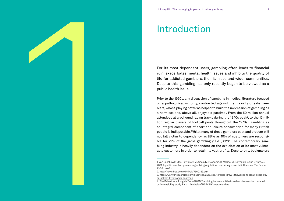### Introduction

For its most dependent users, gambling often leads to financial ruin, exacerbates mental health issues and inhibits the quality of life for addicted gamblers, their families and wider communities. Despite this, gambling has only recently begun to be viewed as a public health issue.

<span id="page-3-0"></span>Prior to the 1990s, any discussion of gambling in medical literature focused on a pathological minority, contrasted against the majority of safe gam blers, whose playing patterns helped to build the impression of gambling as a harmless and, above all, enjoyable pastime 1 . From the 50 million annual attendees at greyhound racing tracks during the 1940s peak 2 , to the 15 mil lion regular players of football pools throughout the 1970s 3 , gambling as an integral component of sport and leisure consumption for many British people is indisputable. Whilst many of these gamblers past and present will not fall victim to dependency, as little as 10% of customers are responsi ble for 79% of the gross gambling yield (GGY) 4. The contemporary gam bling industry is heavily dependent on the exploitation of its most vulner able customers in order to retain its vast profits. Despite this, bookmakers<br>1. van Schalkwyk, M.C., Petticrew, M., Cassidy, R., Adams, P., McKee, M., Reynolds, J. and Orford, J., Unicity  $90\text{ m}$  of an energy investor of the computer of the computer of the customer of the customer of the customer of the customer of the customer of the customer of the customer of the customer of the customer of th

<sup>2021.</sup> A public health approach to gambling regulation: countering powerful influences.The Lancet Public Health .

<sup>2</sup> . <http://news.bbc.co.uk/1/hi/uk/7560329.stm>

<sup>3</sup> . [https://www.theguardian.com/business/2016/sep/13/prize-draw-littlewoods-football-pools-buy](https://www.theguardian.com/business/2016/sep/13/prize-draw-littlewoods-football-pools-buyer-jackpot-littlewoods-sportech) [er-jackpot-littlewoods-sportech](https://www.theguardian.com/business/2016/sep/13/prize-draw-littlewoods-football-pools-buyer-jackpot-littlewoods-sportech)

<sup>4.</sup> The Behavioural Insights Team (2021) 'Gambling behaviour: What can bank transaction data tell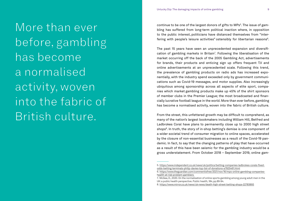More than ever before, gambling has become a normalised activity, woven into the fabric of British culture.

continue to be one of the largest donors of gifts to MPs<sup>5</sup>. The issue of gambling has suffered from long-term political inaction where, in opposition to the public interest, politicians have distanced themselves from "interfering with people's leisure activities" ostensibly for libertarian reasons<sup>6</sup>.

The past 15 years have seen an unprecedented expansion and diversification of gambling markets in Britain<sup>7</sup>. Following the liberalisation of the market occurring off the back of the 2005 Gambling Act, advertisements for brands, their products and enticing sign up offers frequent T.V and online advertisements at an unprecedented scale. Following this trend, the prevalence of gambling products on radio ads has increased exponentially, with the industry spend exceeded only by government communications such as Covid-19 messages, and motor supplies. Also increasingly ubiquitous among sponsorship across all aspects of elite sport, companies which market gambling products make up 45% of the shirt sponsors of member clubs in the Premier League; the most broadcasted and financially lucrative football league in the world. More than ever before, gambling has become a normalised activity, woven into the fabric of British culture.

From the street, this unfettered growth may be difficult to comprehend, as many of the nation's largest bookmakers including William Hill, Betfred and Ladbrokes Coral have plans to permanently close up to 2000 high street shops<sup>8</sup>. In truth, the story of in-shop betting's demise is one component of a wider societal trend of consumer migration to online spaces, accelerated by the closure of non-essential businesses as a result of the Covid-19 pandemic. In fact, to say that the changing patterns of play that have occurred as a result of this have been seismic for the gambling industry would be a gross understatement. From October 2018 – September 2019, online gam-

<sup>5.</sup> [https://www.independent.co.uk/news/uk/politics/betting-companies-ladbrokes-corals-fixed](https://www.independent.co.uk/news/uk/politics/betting-companies-ladbrokes-corals-fixed-odds-betting)[odds-betting-terminals-philip-davies-top-list-of-donations-a7925461.html](https://www.independent.co.uk/news/uk/politics/betting-companies-ladbrokes-corals-fixed-odds-betting)

<sup>6.</sup> [https://www.theguardian.com/commentisfree/2021/nov/16/mps-online-gambling-companies](https://www.theguardian.com/commentisfree/2021/nov/16/mps-online-gambling-companies-health-at-risk-p)[health-at-risk-problem-gamblers](https://www.theguardian.com/commentisfree/2021/nov/16/mps-online-gambling-companies-health-at-risk-p)

<sup>7.</sup> McGee, D., 2020. On the normalisation of online sports gambling among young adult men in the UK: a public health perspective. Public health, 184, pp.89-94.

<sup>8.</sup> <https://www.mirror.co.uk/news/uk-news/death-high-street-betting-shops-22783893>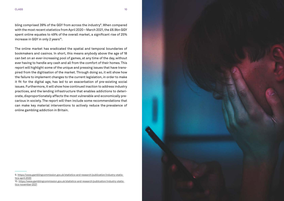bling comprised 39% of the GGY from across the industry<sup>9</sup>. When compared with the most recent statistics from April 2020 – March 2021, the £6.9bn GGY spent online equates to 49% of the overall market, a significant rise of 25% increase in GGY in only 2 years<sup>10</sup>.

The online market has eradicated the spatial and temporal boundaries of bookmakers and casinos. In short, this means anybody above the age of 18 can bet on an ever-increasing pool of games, at any time of the day, without ever having to handle any cash and all from the comfort of their homes. This report will highlight some of the unique and pressing issues that have transpired from the digitisation of the market. Through doing so, it will show how the failure to implement changes to the current legislation, in order to make it fit for the digital age, has led to an exacerbation of pre-existing social issues. Furthermore, it will show how continued inaction to address industry practices, and the lending infrastructure that enables addictions to deteriorate, disproportionately affects the most vulnerable and economically precarious in society. The report will then include some recommendations that can make key material interventions to actively reduce the prevalence of online gambling addiction in Britain.

<sup>10.</sup> [https://www.gamblingcommission.gov.uk/statistics-and-research/publication/industry-statis](https://www.gamblingcommission.gov.uk/statistics-and-research/publication/industry-statistics-november-2021)[tics-november-2021](https://www.gamblingcommission.gov.uk/statistics-and-research/publication/industry-statistics-november-2021)



<sup>9.</sup> [https://www.gamblingcommission.gov.uk/statistics-and-research/publication/industry-statis](https://www.gamblingcommission.gov.uk/statistics-and-research/publication/industry-statistics-april-2020)[tics-april-2020](https://www.gamblingcommission.gov.uk/statistics-and-research/publication/industry-statistics-april-2020)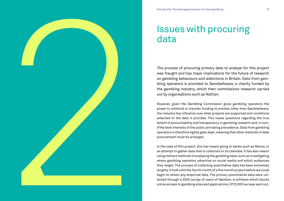### Issues with procuring data

The process of procuring primary data to analyse for this project was fraught and has major implications for the future of research on gambling behaviours and addictions in Britain. Data from gambling operators is provided to GambleAware, a charity funded by the gambling industry, which then commissions research carried out by organisations such as NatCen.

However, given the Gambling Commission gives gambling operators the power to withhold or transfer funding to entities other than GambleAware, the industry has influence over what projects are supported and conditions attached to the data it provides. This raises questions regarding the true extent of accountability and transparency in gambling research and, in turn, if the best interests of the public are taking precedence. Data from gambling operators is therefore tightly gate-kept, meaning that other methods of data procurement must be arranged.

<span id="page-6-0"></span>USS LUES WITH procuring terms of one with the damaging start is a reduced for the damaging distribution of  $\alpha$  and  $\alpha$  and  $\alpha$  and  $\alpha$  and  $\alpha$  and  $\alpha$  and  $\alpha$  and  $\alpha$  and  $\alpha$  and  $\alpha$  and  $\alpha$  and  $\alpha$  and  $\alpha$  a In the case of this project, this has meant going to banks such as Monzo, in an attempt to gather data that is collected on its clientele. It has also meant using indirect methods of analysing the gambling base, such as investigating where gambling operators advertise on social media and which audiences they target. The process of collecting quantitative data has been extremely lengthy. It took until the fourth month of a five month project before we could begin to obtain any empirical data. The primary quantitative data were collected through a 2020 survey of users of Gamban, a software which blocks online access to gambling sites and applications. Of 12,000 surveys sent out,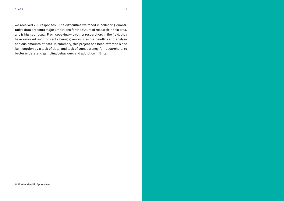we received 280 responses<sup>11</sup>. The difficulties we faced in collecting quantitative data presents major limitations for the future of research in this area, and is highly unusual. From speaking with other researchers in the field, they have revealed such projects being given impossible deadlines to analyse copious amounts of data. In summary, this project has been affected since its inception by a lack of data, and lack of transparency for researchers, to better understand gambling behaviours and addiction in Britain.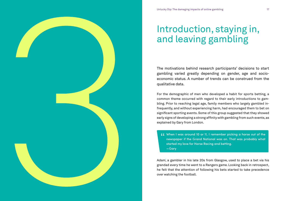# Introduction, staying in, and leaving gambling

The motivations behind research participants' decisions to start gambling varied greatly depending on gender, age and socioeconomic status. A number of trends can be construed from the qualitative data.

<span id="page-8-0"></span>For the demographic of men who developed a habit for sports betting, a common theme occurred with regard to their early introductions to gambling. Prior to reaching legal age, family members who largely gambled infrequently, and without experiencing harm, had encouraged them to bet on significant sporting events. Some of this group suggested that they showed early signs of developing a strong affinity with gambling from such events, as explained by Gary from London. Introduction, staying in, and leaving gambling in, and leaving gambling is a started to take precedent of  $\alpha$  at  $\alpha$  at  $\alpha$  at  $\alpha$  at  $\alpha$  at  $\alpha$  at  $\alpha$  at  $\alpha$  at  $\alpha$  at  $\alpha$  at  $\alpha$  at  $\alpha$  at  $\alpha$  at  $\alpha$  at  $\alpha$ 

" When I was around 10 or 11, I remember picking a horse out of the newspaper if the Grand National was on. That was probably what started my love for Horse Racing and betting. — Gary

Adam, a gambler in his late 20s from Glasgow, used to place a bet via his grandad every time he went to a Rangers game. Looking back in retrospect,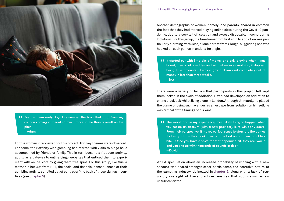

66 Even in them early days I remember the buzz that I got from my coupon coming in meant so much more to me than a result on the pitch. — Adam

For the women interviewed for this project, two key themes were observed. For some, their affinity with gambling had started with visits to bingo halls accompanied by friends or family. This in turn became a frequent activity, acting as a gateway to online bingo websites that enticed them to experiment with online slots by giving them free spins. For this group, like Sue, a mother in her 30s from Hull, the social and financial consequences of their gambling activity spiralled out of control off the back of these sign up incentives (see [chapter 5](#page-18-0)).

Another demographic of women, namely lone parents, shared in common the fact that they had started playing online slots during the Covid-19 pandemic, due to a cocktail of isolation and excess disposable income during lockdown. For this group, the timeframe from first spin to addiction was particularly alarming, with Jess, a lone parent from Slough, suggesting she was hooked on such games in under a fortnight.

" It started out with little bits of money and only playing when I was bored, then all of a sudden and without me even realising, it stopped being little amounts… I was a grand down and completely out of money in less than three weeks. — Jess

There were a variety of factors that participants in this project felt kept them locked in the cycle of addiction. David had developed an addiction to online blackjack whilst living alone in London. Although ultimately, he placed the blame of using such avenues as an escape from isolation on himself, he was critical of the timings of his wins.

**44** The worst, and in my experience, most likely thing to happen when you set up an account [with a new provider], is to win early doors. you set up an account [with a new provider], is to win early doors. From their perspective, it makes perfect sense to structure the games that way. That's their hook, they put the bait on and new gamblers bite… Once you have a taste for that dopamine hit, they reel you in and you end up with thousands of pounds of debt. — David

Whilst speculation about an increased probability of winning with a new account was shared amongst other participants, the secretive nature of the gambling industry, delineated in [chapter 2](#page-6-0), along with a lack of regulatory oversight of these practices, ensures that such claims remain unsubstantiated.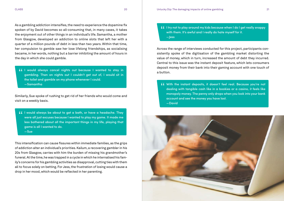As a gambling addiction intensifies, the need to experience the dopamine fix spoken of by David becomes so all-consuming that, in many cases, it takes the enjoyment out of other things in an individual's life. Samantha, a mother from Glasgow, developed an addiction to online slots that left her with a quarter of a million pounds of debt in less than two years. Within that time, her compulsion to gamble saw her lose lifelong friendships, as socialising became, in her words, nothing but a barrier inhibiting the amount of hours in the day in which she could gamble.

" I would always cancel nights out because I wanted to stay in gambling. Then on nights out I couldn't get out of, I would sit in the toilet and gamble on my phone whenever I could. — Samantha

Similarly, Sue spoke of rushing to get rid of her friends who would come and visit on a weekly basis.

" I would always be about to get a bath, or have a headache. They were all just excuses because I wanted to play my game. It made me less bothered about all the important things in my life, playing that game is all I wanted to do. — Sue

This intensification can cause fissures within immediate families, as the grips of addiction alter an individual's priorities. Kailum, a recovering gambler in his 20s from Glasgow, carries with him the burden of missing his grandmother's funeral. At the time, he was trapped in a cycle in which he internalised his family's concerns for his gambling activities as disapproval, cutting ties with them all to focus solely on betting. For Jess, the frustration of losing would cause a drop in her mood, which would be reflected in her parenting.

**66** I try not to play around my kids because when I do I get really snappy with them. It's awful and I really do hate myself for it. — Jess

Across the range of interviews conducted for this project, participants consistently spoke of the digitisation of the gambling market distorting the value of money, which in turn, increased the amount of debt they incurred. Central to this issue was the instant deposit feature, which lets consumers deposit money from their bank into their gaming account with one touch of a button.

" With the instant deposits, it doesn't feel real. Because you're not dealing with tangible cash like in a bookies or a casino, it feels like monopoly money. The penny only drops when you look into your bank account and see the money you have lost. — David

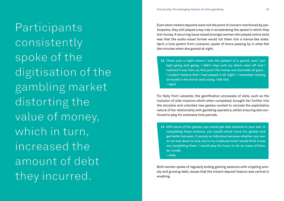Participants consistently spoke of the digitisation of the gambling market distorting the value of money, which in turn, increased the amount of debt they incurred.

Even when instant deposits were not the point of concern mentioned by participants, they still played a key role in accelerating the speed in which they lost money. A recurring issue raised amongst women who played online slots was that the audio-visual format would lull them into a trance-like state. April, a lone parent from Liverpool, spoke of hours passing by in what felt like minutes when she gamed at night.

" There was a night where I won the jackpot of a grand, and I just kept going and going. I didn't stop until my alarm went off and I realised it was 7am, by that point the money was basically all gone… I couldn't believe that I had played it all night, I remember looking at myself in the mirror and crying, I felt sick.

— April

For Kelly from Leicester, the gamification processes of slots, such as the inclusion of side missions which when completed, brought her further into the storyline and unlocked new games; worked to conceal the exploitative nature of her relationship with gambling operators, whilst ensuring she continued to play for extensive time periods.

G With some of the games, you would get side missions in your slot. In completing these missions, you would unlock more fun games and completing these missions, you would unlock more fun games and get better bonuses. It sounds so ridiculous because whether you won or not was down to luck, but in my irrational mind I would think it was me completing them. I would play for hours to do as many of them as I could. — Kelly

Both women spoke of regularly ending gaming sessions with crippling anxiety and growing debt, issues that the instant deposit feature was central in enabling.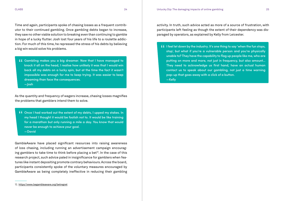Time and again, participants spoke of chasing losses as a frequent contributor to their continued gambling. Once gambling debts began to increase, they saw no other viable solution to breaking even than continuing to gamble in hope of a lucky flutter. Josh lost four years of his life to a roulette addiction. For much of this time, he repressed the stress of his debts by believing a big win would solve his problems.

" Gambling makes you a big dreamer. Now that I have managed to knock it all on the head, I realise how unlikely it was that I would win back all my debts on a lucky spin, but at the time the fact it wasn't impossible was enough for me to keep trying. It was easier to keep dreaming than face the consequences. — Josh

As the quantity and frequency of wagers increase, chasing losses magnifies the problems that gamblers intend them to solve.

**44** Once I had worked out the extent of my debts, I upped my stakes. In my head I thought it would be foolish not to. It would be like training my head I thought it would be foolish not to. It would be like training for a marathon but only running a mile a day. You know that would never be enough to achieve your goal. — David

GambleAware have placed significant resources into raising awareness of loss chasing, including running an advertisement campaign encouraging gamblers to take time to think before placing a bet<sup>12</sup>. In the case of this research project, such advice paled in insignificance for gamblers when features like instant depositing promote contrary behaviours. Across the board, participants consistently spoke of the voluntary measures encouraged by GambleAware as being completely ineffective in reducing their gambling activity. In truth, such advice acted as more of a source of frustration, with participants left feeling as though the extent of their dependency was disparaged by operators, as explained by Kelly from Leicester.

**I** I feel let down by the industry. It's one thing to say 'when the fun stops, stop', but what if you're a vulnerable person and you're physically stop', but what if you're a vulnerable person and you're physically unable to? They have the capability to flag up people like me, who are putting on more and more, not just in frequency, but also amount… They need to acknowledge us first hand, have an actual human contact us to speak about our gambling, not just a time warning pop-up that goes away with a click of a button. — Kelly

<sup>12.</sup> [https//:www.begambleaware.org/betregret](https://www.begambleaware.org/betregret)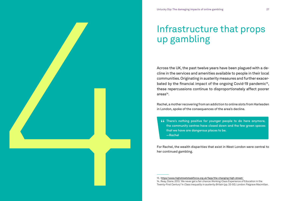# Infrastructure that props up gambling

<span id="page-13-0"></span>Across the UK, the past twelve years have been plagued with a decline in the services and amenities available to people in their local communities. Originating in austerity measures and further exacerbated by the financial impact of the ongoing Covid-19 pandemic<sup>13</sup>, these repercussions continue to disproportionately affect poorer  $area<sup>14</sup>$ . 14. Personality of Class Experiment Century' In the Class Experiment Century' In the Class Experience of Class Experience of Class Experience of Class Experience of Class Experience of Class Experience of Class Experience

Rachel, a mother recovering from an addiction to online slots from Harlesden in London, spoke of the consequences of the area's decline.

" There's nothing positive for younger people to do here anymore, the community centres have closed down and the few green spaces that we have are dangerous places to be. — Rachel

For Rachel, the wealth disparities that exist in West London were central to her continued gambling.

<sup>13.</sup> https//:www.highstreetstaskforce.org.uk/faqs/the-changing-high-street/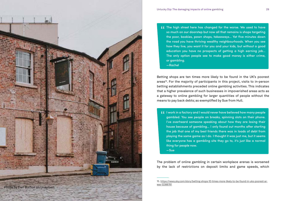

- $\blacksquare$  The high street here has changed for the worse. We used to have so much on our doorstep but now all that remains is shops targeting so much on our doorstep but now all that remains is shops targeting the poor, bookies, pawn shops, takeaways… Yet five minutes down the road you have thriving wealthy neighbourhoods. When you see how they live, you want it for you and your kids, but without a good education you have no prospects of getting a high earning job… The only option people see to make good money is either crime, or gambling.
	- Rachel

Betting shops are ten times more likely to be found in the UK's poorest areas<sup>15</sup>. For the majority of participants in this project, visits to in-person betting establishments preceded online gambling activities. This indicates that a higher prevalence of such businesses in impoverished areas acts as a gateway to online gambling for larger quantities of people without the means to pay back debts; as exemplified by Sue from Hull.

- " I work in a factory and I would never have believed how many people gambled. You see people on breaks, spinning slots on their phone. I've overheard someone speaking about how they are losing their house because of gambling… I only found out months after starting the job that one of my best friends there was in loads of debt from playing the same game as I do. I thought it was just me, but it seems like everyone has a gambling site they go to, it's just like a normal thing for people now.
	- Sue

The problem of online gambling in certain workplace arenas is worsened by the lack of restrictions on deposit limits and game speeds, which

<sup>15.</sup> [https://news.sky.com/story/betting-shops-10-times-more-likely-to-be-found-in-uks-poorest-ar](https://news.sky.com/story/betting-shops-10-times-more-likely-to-be-found-in-uks-poorest-areas-12388781)[eas-12388781](https://news.sky.com/story/betting-shops-10-times-more-likely-to-be-found-in-uks-poorest-areas-12388781)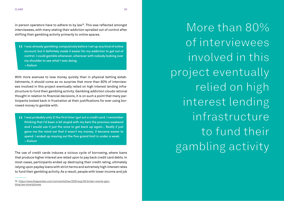in-person operators have to adhere to by law<sup>16</sup>. This was reflected amongst interviewees, with many stating their addiction spiralled out of control after shifting their gambling activity primarily to online spaces.

" I was already gambling compulsively before I set up any kind of online account, but it definitely made it easier for my addiction to get out of control. I could gamble whenever, wherever with nobody looking over my shoulder to see what I was doing. — Kailum

With more avenues to lose money quickly than in physical betting establishments, it should come as no surprise that more than 80% of interviewees involved in this project eventually relied on high interest lending infrastructure to fund their gambling activity. Gambling addiction clouds rational thought in relation to financial decisions, it is on such a point that many participants looked back in frustration at their justifications for ever using borrowed money to gamble with.

" I was probably only 21 the first time I got out a credit card. I remember thinking that I'd been a bit stupid with my bets the previous weekend and I would use it just the once to get back up again… Really it just gave me the mind-set that it wasn't my money, it became easier to spend. I ended up maxing out the five grand limit in under a week. — Kailum

The use of credit cards induces a vicious cycle of borrowing, where loans that produce higher interest are relied upon to pay back credit card debts. In most cases, participants ended up destroying their credit rating, ultimately relying upon payday loans with strict terms and extremely high interest rates to fund their gambling activity. As a result, people with lower income and job

More than 80% of interviewees involved in this project eventually relied on high interest lending infrastructure to fund their gambling activity

<sup>16.</sup> [https://www.theguardian.com/commentisfree/2020/aug/05/britain-rewrite-gam](https://www.theguardian.com/commentisfree/2020/aug/05/britain-rewrite-gambling-law-smartphones)[bling-law-smartphones](https://www.theguardian.com/commentisfree/2020/aug/05/britain-rewrite-gambling-law-smartphones)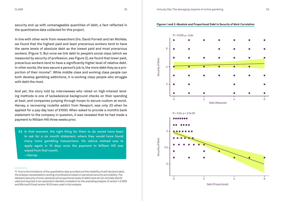#### CLASS 32 Unlucky Dip: The damaging impacts of online gambling 33

security end up with unmanageable quantities of debt, a fact reflected in the quantitative data collected for this project.

In line with other work from researchers Drs. David Forrest and Ian McHale, we found that the highest paid and least precarious workers tend to have the same levels of absolute debt as the lowest paid and most precarious workers. (Figure 1). But once we link debt to people's social class (which we measured by security of profession, see Figure 2), we found that lower paid, precarious workers tend to have a significantly higher level of relative debt. In other words, the less secure a person's job is, the more debt they as a proportion of their income<sup>17</sup>. While middle class and working class people can both develop gambling addictions, it is working class people who struggle with debt the most.

And yet, the story told by interviewees who relied on high-interest lending methods is one of lackadaisical background checks on their spending at best, and companies jumping through hoops to secure custom at worst. Harvey, a recovering roulette addict from Newport, was only 23 when he applied for a pay-day loan of £1000. When asked to provide a month's bank statement to the company in question, it was revealed that he had made a payment to William Hill three weeks prior.

**If** In that moment, the right thing for them to do would have been<br>to ask for a six month statement, where they would have found to ask for a six month statement, where they would have found many more gambling transactions. His advice instead was to apply again in 10 days once the payment to William Hill was wiped from that month. — Harvey





<sup>17.</sup> Due to the limitations of the quantitative data provided and the reliability of self-declared debt, the analysis necessitated a ranking of professions based on perceived security and stability. The datasets (security of work, absolute and proportional levels of debt) were all not normally distributed and required a non-parametric Kendall correlation for the preceding analysis. R version 1.3.1093 and Microsoft Excel version 16.53 were used in this analysis.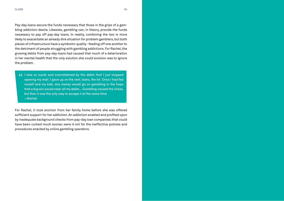Pay-day loans secure the funds necessary that those in the grips of a gam bling addiction desire. Likewise, gambling can, in theory, provide the funds necessary to pay off pay-day loans. In reality, combining the two is more likely to exacerbate an already dire situation for problem gamblers, but both pieces of infrastructure have a symbiotic quality - feeding off one another to the detriment of people struggling with gambling addictions. For Rachel, the growing debts from pay-day loans had caused that much of a deterioration in her mental health that the only solution she could envision was to ignore the problem.

" I was so numb and overwhelmed by the debts that I just stopped opening my mail. I gave up on the rent, loans, the lot. Once I had fed myself and my kids, any money would go on gambling in the hope that a big win would clear all my debts… Gambling caused the chaos, but then it was the only way to escape it at the same time. — Rachel

For Rachel, it took eviction from her family home before she was offered sufficient support for her addiction. An addiction enabled and profited upon by inadequate background checks from pay-day loan companies; that could have been curbed much sooner, were it not for the ineffective policies and procedures enacted by online gambling operators.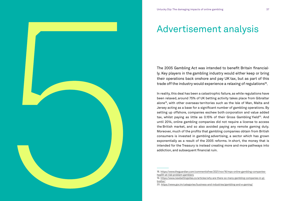<span id="page-18-0"></span>

### Advertisement analysis

The 2005 Gambling Act was intended to benefit Britain financially. Key players in the gambling industry would either keep or bring their operations back onshore and pay UK tax, but as part of this trade off the industry would experience a relaxing of regulations<sup>18</sup>.

In reality, this deal has been a catastrophic failure, as while regulations have been relaxed, around 75% of UK betting activity takes place from Gibraltar alone19, with other overseas territories such as the Isle of Man, Malta and Jersey acting as a base for a significant number of gambling operations. By setting up offshore, companies eschew both corporation and value added tax, whilst paying as little as 0.15% of their Gross Gambling Yield<sup>20</sup>. And until 2014, online gambling companies did not require a license to access the British market, and so also avoided paying any remote gaming duty. Moreover, much of the profits that gambling companies obtain from British consumers is invested in gambling advertising, a sector which has grown exponentially as a result of the 2005 reforms. In short, the money that is intended for the Treasury is instead creating more and more pathways into addiction, and subsequent financial ruin.

<sup>18.</sup> [https://www.theguardian.com/commentisfree/2021/nov/16/mps-online-gambling-companies](https://www.theguardian.com/commentisfree/2021/nov/16/mps-online-gambling-companies-health-at-risk-problem-gamblers)[health-at-risk-problem-gamblers](https://www.theguardian.com/commentisfree/2021/nov/16/mps-online-gambling-companies-health-at-risk-problem-gamblers)

<sup>19.</sup> [https://www.newbettingsites.co/articles/why-are-there-so-many-gambling-companies-in-gi](https://www.newbettingsites.co/articles/why-are-there-so-many-gambling-companies-in-gibraltar/)[braltar/](https://www.newbettingsites.co/articles/why-are-there-so-many-gambling-companies-in-gibraltar/)

<sup>20.</sup> <https://www.gov.im/categories/business-and-industries/gambling-and-e-gaming/>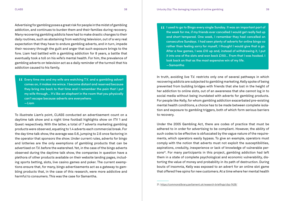Advertising for gambling poses a great risk for people in the midst of gambling addiction, and continues to burden them and their families during recovery. Many recovering gambling addicts have had to make drastic changes to their daily routines, such as abstaining from watching television, out of a very real expectation that they have to endure gambling adverts, and in turn, impede their recovery through the guilt and anger that such exposure brings to the fore. Liam had battled with a gambling addiction for 8 years, a battle that eventually took a toll on his wife's mental health. For him, the prevalence of gambling adverts on television act as a daily reminder of the turmoil that his addiction caused to his family.

" Every time me and my wife are watching T.V. and a gambling advert comes on, it makes me wince. I become distant and reserved because they bring me back to that time and I remember the pain that I put my wife through… It's like an elephant in the room that you physically can't escape because adverts are everywhere. — Liam

To illustrate Liam's point, CLASS conducted an advertisement count on a daytime talk show and a night time football highlights show on ITV 1 and Quest respectively. With the latter, a total of 7 adverts marketing gambling products were observed, equating to 1.4 adverts each commercial break. For the day time talk show, the average was 0.6, jumping to 2.6 once factoring in the operator that sponsors the show. Under current rules, adverts for bingo and lotteries are the only exemptions of gambling products that can be advertised on T.V. before the watershed. Yet, in the case of the bingo adverts observed during the daytime talk show, the companies in question have a plethora of other products available on their website landing pages, including sports betting, slots, live casino games and poker. The current exemptions ensure that, for many, bingo advertisements act as a gateway to gambling products that, in the case of this research, were more addictive and harmful to consumers. This was the case for Samantha.

In truth, avoiding live T.V. restricts only one of several pathways in which recovering addicts are subjected to gambling marketing. Kelly spoke of being prevented from building bridges with friends that she lost in the height of her addiction to online slots, out of an awareness that she cannot log in to social media without being inundated with adverts for gambling products. For people like Kelly, for whom gambling addiction exacerbated pre-existing mental health conditions, a choice has to be made between complete isolation and exposure to gambling triggers, both of which form serious barriers to recovery.

Under the 2005 Gambling Act, there are codes of practice that must be adhered to in order for advertising to be compliant. However, the ability of such codes to be effective is obfuscated by the vague nature of the requirements, which operators easily bypass. To give an example, operators must comply with the notion that adverts must not exploit the susceptibilities, aspirations, credulity, inexperience or lack of knowledge of vulnerable persons<sup>21</sup>. For many participants in this project, gambling addiction had left them in a state of complete psychological and economic vulnerability, distorting the value of money and probability in its path of destruction. During bouts of insomnia, Kelly was exposed to an advert for an online slot game that offered free spins for new customers. At a time where her mental health

<sup>&</sup>quot; I used to go to Bingo every single Sunday. It was an important part of the week for me, if my friends ever cancelled I would get really fed up and short tempered. One week, I remember they had cancelled on consecutive Sundays. I had seen plenty of adverts for online bingo so rather than feeling sorry for myself, I thought I would give that a go. After a few games, I was £10 up and, instead of withdrawing it, I put it into one of the slots and won back £150… From that I was hooked. I look back on that as the most expensive win of my life. — Samantha

<sup>21.</sup> <https://commonslibrary.parliament.uk/research-briefings/cbp-7428/>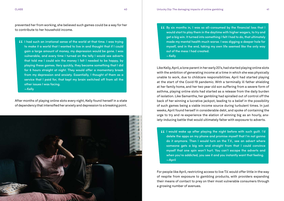prevented her from working, she believed such games could be a way for her to contribute to her household income.

" I had such an irrational sense of the world at that time. I was trying to make it a world that I wanted to live in and thought that if I could gain a large amount of money, my depression would be gone. I was vulnerable, and every time I turned on the telly I would see adverts that told me I could win the money I felt I needed to be happy, by playing these games. Very quickly, they became something that I did for 6 hours straight at night. They would offer a momentary break from my depression and anxiety. Essentially, I thought of them as a service that I paid for, that kept my brain switched off from all the other issues I was facing.

— Kelly

After months of playing online slots every night, Kelly found herself in a state of dependency that intensified her anxiety and depression to a breaking point.



" By six months in, I was so all-consumed by the financial loss that I would start to play them in the daytime with higher wagers, to try and get a big win. It turned into something I felt I had to do, that ultimately made my mental health much worse. I was digging a deeper hole for myself, and in the end, taking my own life seemed like the only way out of the mess I had created. — Kelly

Like Kelly, April, a lone parent in her early 20's, had started playing online slots with the ambition of generating income at a time in which she was physically unable to work, due to childcare responsibilities. April had started playing at the start of the Covid-19 pandemic. With a terminally ill father shielding at her family home, and her two year old son suffering from a severe form of asthma, playing online slots had started as a release from the daily burden of isolation. Like Samantha, her gambling had spiralled out of control off the back of her winning a lucrative jackpot, leading to a belief in the possibility of such games being a viable income source during turbulent times. In just weeks, April found herself in considerable debt, and spoke of containing the urge to try and re-experience the elation of winning big as an hourly, anxiety-inducing battle that would ultimately falter with exposure to adverts.

" I would wake up after playing the night before with such guilt. I'd delete the apps on my phone and promise myself that I'm not gonna do it anymore. Then I would turn on the T.V., see an advert where someone gets a big win and straight from that I could convince myself that one spin won't hurt. You can't escape the adverts and when you're addicted, you see it and you instantly want that feeling. — April

For people like April, restricting access to live T.V. would offer little in the way of respite from exposure to gambling products, with providers expanding their means of contact to prey on their most vulnerable consumers through a growing number of avenues.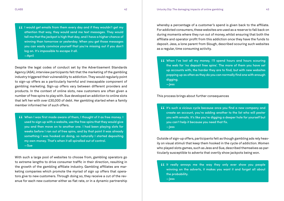" I would get emails from them every day and if they wouldn't get my attention that way, they would send me text messages. They would tell me that the jackpot is high that day, and I have a higher chance of winning than tomorrow or yesterday. When you get those messages you can easily convince yourself that you're missing out if you don't log on. It's impossible to escape it all.

— April

Despite the legal codes of conduct set by the Advertisement Standards Agency (ASA), interview participants felt that the marketing of the gambling industry triggered their vulnerability to addiction. They would regularly point to sign-up offers as a particularly harmful and inescapable component of gambling marketing. Sign-up offers vary between different providers and products. In the context of online slots, new customers are often given a number of free spins to play with. Sue developed an addiction to online slots that left her with over £30,000 of debt. Her gambling started when a family member informed her of such offers.

" When I was first made aware of them, I thought of it as free money. I used to sign up with a website, use the free spins that they would give you and then move on to another one. I had been playing slots for weeks before I ran out of free spins, and by that point it was already something I was hooked on doing, so naturally I started depositing my own money. That's when it all spiralled out of control. — Sue

With such a large pool of websites to choose from, gambling operators go to extreme lengths to drive consumer traffic in their direction, resulting in the growth of the gambling affiliate industry. Gambling affiliates are marketing companies which promote the myriad of sign up offers that operators give to new customers. Through doing so, they receive a cut of the revenue for each new customer either as flat rate, or in a dynamic partnership whereby a percentage of a customer's spend is given back to the affiliate. For addicted consumers, these websites are used as a reserve to fall back on during moments where they run out of money, whilst ensuring that both the affiliate and operator profit from this addiction once they have the funds to deposit. Jess, a lone parent from Slough, described scouring such websites as a regular, time consuming activity.

G When I've lost all my money, I'll spend hours and hours scouring<br>the web for 'no deposit free spins'. The more of them you have set the web for 'no deposit free spins'. The more of them you have set up accounts with, the harder they are to find, but with new websites popping up as often as they do you can normally find one with enough digging. — Jess

This process brings about further consequences

**It's such a vicious cycle because once you find a new company and create an account, you're adding another to the list who will pester** create an account, you're adding another to the list who will pester you with emails. It's like you're digging a deeper hole for yourself but you can't help it because you need that fix. — Jess

Outside of sign-up offers, participants felt as though gambling ads rely heavily on visual stimuli that keep them hooked in the cycle of addiction. Women who played slots games, such as Jess and Sue, described themselves as particularly susceptible to adverts that overtly show jackpots being won.

**It** really annoys me the way they only ever show you people winning on the adverts, it makes you want it and forget all about winning on the adverts, it makes you want it and forget all about the probability.

— Jess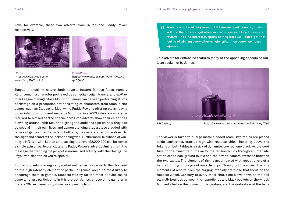Take for example, these two adverts from 32Red and Paddy Power respectively.





32Red [https://www.youtube.com/](https://www.youtube.com/watch?v=_5DxXdxiJoA) [watch?v=\\_5DxXdxiJoA](https://www.youtube.com/watch?v=_5DxXdxiJoA)

PaddyPower [https://www.youtube.com/watch?v=L2kX](https://www.youtube.com/watch?v=L2kXqAD06hQ)[qAD06hQ](https://www.youtube.com/watch?v=L2kXqAD06hQ)

Tongue-in-cheek in nature, both adverts feature famous faces, namely Keith Lemon, a character portrayed by comedian Leigh Francis, and ex-Premier League manager Jose Mourinho. Lemon can be seen performing stunts backstage on a production set consisting of characters from famous slot games, such as Cleopatra. Meanwhile Paddy Power's offering plays heavily on an infamous comment made by Mourinho in a 2003 interview, where he referred to himself as 'the special one'. Both adverts show their celebrities clowning around, with Mourinho giving the audience tips on how they can be special in their own lives, and Lemon standing atop a stage cladded with large slot games on either side. In both ads, the viewers' attention is drawn to the sight and sound of the jackpot being won. Furthermore, likelihood of winning is inflated, with Lemon emphasising that over £2,000,000 can be won in a single spin on particular slots, and Paddy Power's advert culminating in the message that winning the jackpot is normalised activity, with the closing line 'if you win, don't think you're special.'

For participants who regularly visited online casinos, adverts that focused on the high intensity element of particular games would be most likely to encourage them to gamble. Roulette was by far the most popular casino game amongst participants in this project. James, a recovering gambler in his late 20s, explained why it was so appealing to him.

" Roulette is high-risk, high-reward. It takes minimal planning, minimal skill and the buzz you get when you win is special. Once I discovered roulette I had no interest in sports betting because I could get that feeling of winning every other minute rather than every two hours. — James

This advert for 888Casino features many of the appealing aspects of roulette spoken of by James.



888Casino, [https://www.youtube.com/watch?v=GWqfNm\\_1TQM](https://www.youtube.com/watch?v=GWqfNm_1TQM)

The viewer is taken to a large metal cladded room. Two tables are placed aside each other, stacked high with roulette chips. Towering above the tokens on both tables is a stick of dynamite; one red, one black. As the cord fuse on the dynamite burns away, the tension builds through an intensification of the background music and the erratic camera switches between the two tables. The element of risk is accentuated with repeat shots of a hand clutching onto a pile of roulette chips. Throughout the advert, the only moments of respite from the surging intensity are those that focus on the roulette wheel. Contrary to every other shot, time slows down as the ball playfully bounces between the hypnotic red and black pockets on the wheel. Moments before the climax of the ignition, and the realisation of the balls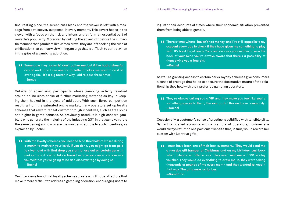final resting place, the screen cuts black and the viewer is left with a message from a voiceover, 'suspense, in every moment'. This advert hooks in the viewer with a focus on the risk and intensity that form an essential part of roulette's popularity. Moreover, by cutting the advert off before the climactic moment that gamblers like James crave, they are left seeking the rush of exhilaration that comes with winning, an urge that is difficult to control when in the grips of a gambling addiction.

" Some days they [adverts] don't bother me, but if I've had a stressful day at work, and I see one for roulette it makes me want to do it all over again… It's a big factor in why I did relapse three times. — James

Outside of advertising, participants whose gambling activity revolved around online slots spoke of further marketing methods as key in keeping them hooked in the cycle of addiction. With such fierce competition resulting from the saturated online market, many operators set up loyalty schemes that reward repeat custom through incentives, such as free spins and higher in-game bonuses. As previously noted, it is high-concern gamblers who generate the majority of the industry's GGY, in that same vein, it is the same demographic who are the most susceptible to such incentives, as explained by Rachel.

" With the loyalty schemes, you need to hit a threshold of stakes during a month to maintain your level. If you don't, you might go from gold to silver, and with that drop you start to lose out on certain perks. It makes it so difficult to take a break because you can easily convince yourself that you're going to be at a disadvantage by doing so. — Rachel

Our interviews found that loyalty schemes create a multitude of factors that make it more difficult to address a gambling addiction, encouraging users to log into their accounts at times where their economic situation prevented them from being able to gamble.

**ff** There's times where I haven't had money, and I've still logged in to my account every day to check if they have given me something to play account every day to check if they have given me something to play with. It's hard to get away. You can't distance yourself because in the back of your mind you're always aware that there's a possibility of them giving you a free gift.

— Rachel

As well as granting access to certain perks, loyalty schemes give consumers a sense of prestige that helps to obscure the destructive nature of the relationship they hold with their preferred gambling operators.

" They're always calling you a VIP and they make you feel like you're something special to them, like your part of this exclusive community. — Rachel

Occasionally, a customer's sense of prestige is solidified with tangible gifts. Samantha opened accounts with a plethora of operators, however she would always return to one particular website that, in turn, would reward her custom with lucrative gifts.

" I must have been one of their best customers… They would send me a massive gift hamper at Christmas and on my birthday, cashback when I deposited after a loss. They even sent me a £500 Radley voucher. They would do everything to draw me in, they were taking thousands of pounds of me every month and they wanted to keep it that way. The gifts were just bribes. — Samantha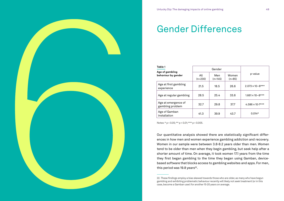

| Table 1<br>Age of gambling<br>behaviour by gender | Gender           |                  |                   |                            |
|---------------------------------------------------|------------------|------------------|-------------------|----------------------------|
|                                                   | All<br>$(n=230)$ | Men<br>$(n=145)$ | Women<br>$(n=85)$ | p-value                    |
| Age at first gambling<br>experience               | 21.5             | 18.5             | 26.6              | $2.073 \times 10 - 8$ ***  |
| Age at regular gambling                           | 28.5             | 25.4             | 33.6              | $1.661 \times 10 - 8$ ***  |
| Age at emergence of<br>gambling problem           | 32.7             | 29.8             | 37.7              | $4.586 \times 10^{-7}$ *** |
| Age of Gamban<br>installation                     | 41.3             | 39.9             | 43.7              | $0.014*$                   |

Notes: \* p < 0.05; \*\* p < 0.01; \*\*\* p < 0.005.

Our quantitative analysis showed there are statistically significant differences in how men and women experience gambling addiction and recovery. Women in our sample were between 3.8-8.2 years older than men. Women tend to be older than men when they begin gambling, but seek help after a shorter amount of time. On average, it took women 17.1 years from the time they first began gambling to the time they began using Gamban, devicebased software that blocks access to gambling websites and apps. For men, this period was 19.8 years<sup>22</sup>.

<span id="page-24-0"></span><sup>22.</sup> These findings employ a bias skewed towards those who are older, as many who have begun gambling and exhibiting problematic behaviour recently will likely not seek treatment (or in this case, become a Gamban user) for another 15-20 years on average.

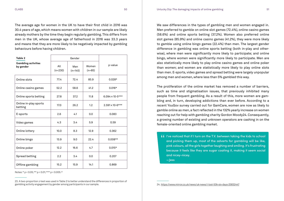CLASS 50 Unlucky Dip: The damaging impacts of online gambling 51

The average age for women in the UK to have their first child in 2016 was 30.4 years of age, which means women with children in our sample are likely already mothers by the time they begin regularly gambling. This differs from men in the UK, whose average age of fatherhood in 2016 was 33.3 years and means that they are more likely to be negatively impacted by gambling behaviours before having children.

| Table 2                                 | Gender           |                  |                   |                           |
|-----------------------------------------|------------------|------------------|-------------------|---------------------------|
| <b>Gambling activities</b><br>by gender | All<br>$(n=230)$ | Men<br>$(n=145)$ | Women<br>$(n=85)$ | p-value                   |
| Online slots                            | 77.4             | 72.4             | 85.9              | $0.028*$                  |
| Online casino games                     | 52.2             | 58.6             | 41.2              | $0.016*$                  |
| Online sports betting                   | 27.8             | 37.2             | 11.8              | $6.094 \times 10^{-5***}$ |
| Online in-play sports<br>betting        | 17.0             | 26.2             | 1.2               | $2.591 \times 10-6$ ***   |
| E-sports                                | 2.6              | 4.1              | 0.0               | 0.083                     |
| Video games                             | 4.3              | 3.4              | 5.9               | 0.59                      |
| Online lottery                          | 10.0             | 8.3              | 12.9              | 0.362                     |
| Online bingo                            | 13.9             | 9.0              | 22.4              | $0.008**$                 |
| Online poker                            | 12.2             | 16.6             | 4.7               | $0.015*$                  |
| Spread betting                          | 2.2              | 3.4              | 0.0               | 0.207                     |
| Offline gambling                        | 15.2             | 15.9             | 14.1              | 0.869                     |

Notes: \* p < 0.05; \*\* p < 0.01; \*\*\* p < 0.005.23

23. A two-proportion z-test was used in Table 2 to better understand the differences in proportion of gambling activity engagement by gender among participants in our sample.

We saw differences in the types of gambling men and women engaged in. Men preferred to gamble on online slot games (72.4%), online casino games<br>(53.001) slot games (85.9%) and online casino games (41.2%), they were more likely to gamble using online bingo games (22.4%) than men. The largest gender difference in gambling was online sports betting (both in-play and otherwise), where men were significantly more likely to participate; and online<br>. omgo, where women were signmcantly more likely to participate. Men are<br>also statistically more likely to play online casino games and online poker than women; and women are statistically more likely to play online slots than men. E-sports, video games and spread betting were largely unpopular among men and women, where less than 5% gambled this way. (58.6%) and online sports betting (37.2%). Women also preferred online bingo, where women were significantly more likely to participate. Men are

The proliferation of the online market has removed a number of barriers, inc productation of the online market has removed a namber or barriers,<br>such as time and stigmatisation issues, that previously inhibited many people from frequent gambling. As a result of this, more women are gambling and, in turn, developing addictions than ever before. According to a gamble online as men, a fact renected in the 132% yearly increase on women<br>reaching out for help with gambling charity Gordon Moody24. Consequently, recent YouGov survey carried out for GamCare, women are now as likely to gamble online as men, a fact reflected in the 132% yearly increase on women a growing number of existing and unknown operators are cashing in on the female-oriented online gambling market.

**I've noticed that if I turn on the T.V. between taking the kids to school**<br>and picking them up, most of the adverts for gambling will be like, and picking them up, most of the adverts for gambling will be like, pink colours, all the girls together laughing and smiling. It's frustrating because it feels like they are sugar coating it, making it seem social and nicey-nicey.

— Jess

24. <https://www.mirror.co.uk/news/uk-news/i-lost-50k-six-days-25832447>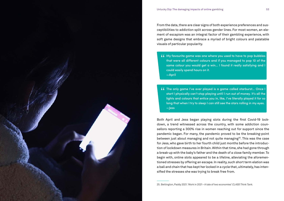

From the data, there are clear signs of both experience preferences and susceptibilities to addiction split across gender lines. For most women, an element of escapism was an integral factor of their gambling experience, with soft game designs that embrace a myriad of bright colours and palatable visuals of particular popularity.

- " My favourite game was one where you used to have to pop bubbles that were all different colours and if you managed to pop 10 of the same colour you would get a win... I found it really satisfying and I could easily spend hours on it. — April
- " The only game I've ever played is a game called starburst… Once I start I physically can't stop playing until I run out of money. It's all the lights and colours that entice you in, like, I've literally played it for so long that when I try to sleep I can still see the stars rolling in my eyes. — Jess

Both April and Jess began playing slots during the first Covid-19 lockdown, a trend witnessed across the country, with some addiction counsellors reporting a 300% rise in women reaching out for support since the pandemic began. For many, the pandemic proved to be the breaking-point between just about managing and not quite managing<sup>25</sup>. This was the case for Jess, who gave birth to her fourth child just months before the introduction of lockdown measures in Britain. Within that time, she had gone through a break-up with the baby's father and the death of a close family member. To begin with, online slots appeared to be a lifeline, alleviating the aforementioned stresses by offering an escape. In reality, such short term elation was a ball and chain that has kept her locked in a cycle that, ultimately, has intensified the stresses she was trying to break free from.

25. Bettington, Paddy 2021. 'Work in 2021 – A tale of two economies' CLASS Think Tank.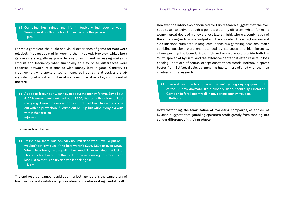" Gambling has ruined my life in basically just over a year. Sometimes it baffles me how I have become this person. — Jess

For male gamblers, the audio and visual experience of game formats were relatively inconsequential in keeping them hooked. However, whilst both genders were equally as prone to loss chasing, and increasing stakes in amount and frequency when financially able to do so, differences were observed between relationships with money lost in-game. Contrary to most women, who spoke of losing money as frustrating at best, and anxiety inducing at worst; a number of men described it as a key component of the thrill.

" As bad as it sounds it wasn't even about the money for me. Say if I put £100 in my account, and I get back £500, that buzz there is what kept me going. I would be more happy if I got that buzz twice and came out with no profit than if I came out £50 up but without any big wins within that session. — James

This was echoed by Liam.

**66** By the end, there was basically no limit as to what I would put on. I wouldn't get any buzz if the bets weren't £20s, £50s or even £100... wouldn't get any buzz if the bets weren't £20s, £50s or even £100… When I look back, it's disgusting how much I was winning and losing. I honestly feel like part of the thrill for me was seeing how much I can lose just so that I can try and win it back again. — Liam

The end result of gambling addiction for both genders is the same story of financial precarity, relationship breakdown and deteriorating mental health.

However, the interviews conducted for this research suggest that the avenues taken to arrive at such a point are starkly different. Whilst for many women, great deals of money are lost late at night, where a combination of the entrancing audio-visual output and the sporadic little wins, bonuses and side missions culminate in long, semi-conscious gambling sessions; men's gambling sessions were characterised by alertness and high intensity, where pushing the boundaries of risk and reward would provide both the 'buzz' spoken of by Liam, and the extensive debts that often results in loss chasing. There are, of course, exceptions to these trends. Bethany, a sports bettor from Belfast, displayed gambling habits more aligned with the men involved in this research

" I knew it was time to stop when I wasn't getting any enjoyment out of the £2 bets anymore. It's a slippery slope, thankfully I installed Gamban before I got myself in any serious money troubles. — Bethany

Notwithstanding, the feminisation of marketing campaigns, as spoken of by Jess, suggests that gambling operators profit greatly from tapping into gender differences in their products.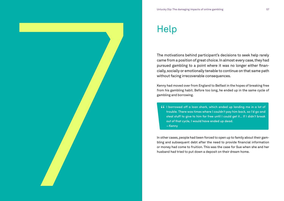#### Unlucky Dip: The damaging impacts of online gambling 57

# **Help**

<span id="page-28-0"></span>The motivations behind participant's decisions to seek help rarely came from a position of great choice. In almost every case, they had pursued gambling to a point where it was no longer either financially, socially or emotionally tenable to continue on that same path without facing irrecoverable consequences. **Come to fruite and come to fruith a straight of the case for such a straight of the case for Sue when she and her 7 husband had tried to put down a deposite on the case for Sue when she and her 7 husband had tried to put** 

Kenny had moved over from England to Belfast in the hopes of breaking free from his gambling habit. Before too long, he ended up in the same cycle of gambling and borrowing.

" I borrowed off a loan shark, which ended up landing me in a lot of trouble. There was times where I couldn't pay him back, so I'd go and steal stuff to give to him for free until I could get it… If I didn't break out of that cycle, I would have ended up dead. — Kenny

In other cases, people had been forced to open up to family about their gambling and subsequent debt after the need to provide financial information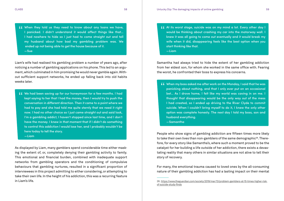(C When they told us they need to know about any loans we have, I panicked. I didn't understand it would affect things like that… I had nowhere to hide so I just had to come straight out and tell my husband about how bad my gambling problem was. We ended up not being able to get the house because of it. — Sue

Liam's wife had realised his gambling problem a number of years ago, after noticing a number of gambling applications on his phone. This led to an argument, which culminated in him promising he would never gamble again. Without sufficient support networks, he ended up falling back into old habits weeks later.

LE We had been saving up for our honeymoon for a few months. I had kept saying to her that I had the money, then I would try to push the kept saying to her that I had the money, then I would try to push the conversation in different direction. Then it came to a point where we had to pay and she had told me quite sternly that we need it right now. I had no other choice so I just came straight out and said look, I'm a gambling addict, I haven't stopped since last time, and I don't have the money. I knew in that moment that if I didn't do something to control this addiction I would lose her, and I probably wouldn't be here today to tell the story. — Liam

As displayed by Liam, many gamblers spend considerable time either masking the extent of, or, completely denying their gambling activity to family. This emotional and financial burden, combined with inadequate support networks from gambling operators and the conditioning of compulsive behaviours that gambling nurtures, resulted in a significant proportion of interviewees in this project admitting to either considering, or attempting to take their own life. In the height of his addiction, this was a recurring feature in Liam's life.

" At its worst stage, suicide was on my mind a lot. Every other day I would be thinking about crashing my car into the motorway wall. I knew it was all going to come out eventually and it would break my wife when it did, disappearing feels like the best option when you start thinking like that.

— Liam

Samantha had always tried to hide the extent of her gambling addiction from her eldest son, for whom she worked in the same office with. Fearing the worst, he confronted their boss to express his concerns.

" When my boss asked me after work on the Monday, I said that he was panicking about nothing, and that I only ever put on an occasional bet… As I drove home, I felt like my world was caving in on me. I thought that disappearing would be the only way out of the mess I had created, so I ended up driving to the River Clyde to commit suicide. When I couldn't bring myself to do it, I knew the only other option was complete honesty. The next day I told my boss, son and husband everything.

— Samantha

People who show signs of gambling addiction are fifteen times more likely to take their own lives than non-gamblers of the same demographic<sup>26</sup>. Therefore, for every story like Samantha's, where such a moment proved to be the catalyst for her building a life outside of her addiction, there exists a devastating reality that many others in similar situations are not alive to tell their story of recovery.

For many, the emotional trauma caused to loved ones by the all-consuming nature of their gambling addiction has had a lasting impact on their mental

<sup>26.</sup> [https://www.theguardian.com/society/2019/mar/13/problem-gamblers-at-15-times-higher-risk](https://www.theguardian.com/society/2019/mar/13/problem-gamblers-at-15-times-higher-risk-of-suicide-study-finds)[of-suicide-study-finds](https://www.theguardian.com/society/2019/mar/13/problem-gamblers-at-15-times-higher-risk-of-suicide-study-finds)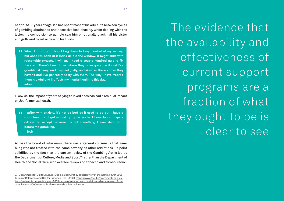health. At 35 years of age, Ian has spent most of his adult life between cycles of gambling abstinence and obsessive loss-chasing. When dealing with the latter, his compulsion to gamble saw him emotionally blackmail his sister and girlfriend to get access to his funds.

G When I'm not gambling I beg them to keep control of my money,<br>but once I'm back at it that's all out the window. It might start with but once I'm back at it that's all out the window. It might start with reasonable excuses, I will say I need a couple hundred quid to fix the car… There's been times where they have gave me it and I've gambled it away, and they feel guilty, and likewise, there's times they haven't and I've got really nasty with them. The way I have treated them is awful and it affects my mental health to this day. — Ian

Likewise, the impact of years of lying to loved ones has had a residual impact on Josh's mental health.

" I suffer with anxiety, it's not as bad as it used to be but I have a short fuse and I get wound up quite easily. I have found it quite difficult to accept because it's not something I ever dealt with before the gambling. — Josh

Across the board of interviews, there was a general consensus that gambling was not treated with the same severity as other addictions – a point solidified by the fact that the current review of the Gambling Act is led by the Department of Culture, Media and Sport<sup>27</sup> rather than the Department of Health and Social Care, who oversee reviews on tobacco and alcohol reduc-

The evidence that the availability and effectiveness of current support programs are a fraction of what they ought to be is clear to see

<sup>27.</sup> Department for Digital, Culture, Media & Sport. Policy paper: review of the Gambling Act 2005 Terms of Reference and Call for Evidence. Dec 8, 2020. [https://www.gov.uk/government/ publica](https://www.gov.uk/government/ publications/review-of-the-gambling-act-2005-terms-of-reference-and-call-for-evidence/review-of-the-gambling-act-2005-terms-of-reference-and-call-for-evidence)[tions/review-of-the-gambling-act-2005-terms-of-reference-and-call-for-evidence/review-of-the](https://www.gov.uk/government/ publications/review-of-the-gambling-act-2005-terms-of-reference-and-call-for-evidence/review-of-the-gambling-act-2005-terms-of-reference-and-call-for-evidence)[gambling-act-2005-terms-of-reference-and-call-for-evidence](https://www.gov.uk/government/ publications/review-of-the-gambling-act-2005-terms-of-reference-and-call-for-evidence/review-of-the-gambling-act-2005-terms-of-reference-and-call-for-evidence)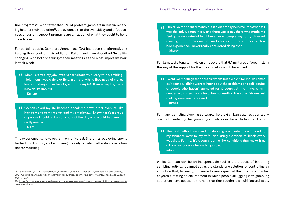tion programs<sup>28</sup>. With fewer than 3% of problem gamblers in Britain receiving help for their addiction<sup>29</sup>, the evidence that the availability and effectiveness of current support programs are a fraction of what they ought to be is clear to see.

For certain people, Gamblers Anonymous (GA) has been transformative in helping them control their addiction. Kailum and Liam described GA as life changing, with both speaking of their meetings as the most important hour in their week.

- " When I started my job, I was honest about my history with Gambling. I told them I would do overtime, nights, anything they need of me, as long as I always have Tuesday nights for my GA. It saved my life, there is no doubt about it. — Kailum
	-
- " GA has saved my life because it took me down other avenues, like how to manage my money and my emotions... I know there's a group of people I could call up any hour of the day who would help me if I really needed it.  $-$ Liam

This experience is, however, far from universal. Sharon, a recovering sports better from London, spoke of being the only female in attendance as a barrier for returning.

" I tried GA for about a month but it didn't really help me. Most weeks I was the only woman there, and there was a guy there who made me feel quite uncomfortable… I have heard people say to try different meetings to find the one that works for you but having had such a bad experience, I never really considered doing that. — Sharon

For James, the long term vision of recovery that GA nurtures offered little in the way of the support for the crisis point in which he arrived.

" I went GA meetings for about six weeks but it wasn't for me. As selfish as it sounds, I didn't want to hear about the problems and self-doubts of people who haven't gambled for 10 years… At that time, what I needed was one-on-one help, like counselling basically. GA was just making me more depressed. — James

For many, gambling blocking software, like the Gamban app, has been a pivotal tool in reducing their gambling activity, as explained by Ian from London.

- GC The best method I've found for stopping is a combination of handing<br>my finances over to my wife, and using Gamban to block every my finances over to my wife, and using Gamban to block every website… For me, it's about creating the conditions that make it as difficult as possible for me to gamble.
	- Ian

Whilst Gamban can be an indispensable tool in the process of inhibiting gambling activity, it cannot act as the standalone solution for controlling an addiction that, for many, dominated every aspect of their life for a number of years. Creating an environment in which people struggling with gambling addictions have access to the help that they require is a multifaceted issue.

<sup>28.</sup> van Schalkwyk, M.C., Petticrew, M., Cassidy, R., Adams, P., McKee, M., Reynolds, J. and Orford, J., 2021. A public health approach to gambling regulation: countering powerful influences.The Lancet Public Health.

<sup>29.</sup> [https://gordonmoody.org.uk/blog/numbers-needing-help-for-gambling-addiction-grows-as-lock](https://gordonmoody.org.uk/blog/numbers-needing-help-for-gambling-addiction-grows-as-lockdown-continues/)[down-continues/](https://gordonmoody.org.uk/blog/numbers-needing-help-for-gambling-addiction-grows-as-lockdown-continues/)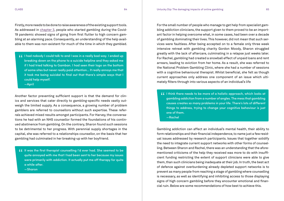Firstly, more needs to be done to raise awareness of the existing support tools. As addressed in [chapter 3,](#page-8-0) people who started gambling during the Covid-19 pandemic showed signs of going from first flutter to high concern gambling at an alarming pace. Consequently, an understanding of the help available to them was non-existent for much of the time in which they gambled.

 $\blacksquare$  I had nobody I could talk to and I was in a really bad way. I ended up breaking down on the phone to a suicide helpline and they asked me breaking down on the phone to a suicide helpline and they asked me if I had tried talking to Gamban. I had seen their logo on the bottom of some sites but never really paid attention… It really annoys me that it took me being suicidal to find out that there's simple ways that I could help myself.

— April

Another factor preventing sufficient support is that the demand for clinics and services that cater directly to gambling-specific needs vastly outweigh the limited supply. As a consequence, a growing number of problem gamblers are referred to counsellors without such expertise. These referrals achieved mixed results amongst participants. For Harvey, the conversations he had with an NHS counsellor formed the foundations of his continued abstinence from gambling. On the contrary, Sharon found such sessions to be detrimental to her progress. With perennial supply shortages in the capital, she was referred to a relationships counsellor, on the basis that her gambling had culminated in her breaking-up with her boyfriend.

" It was the first therapist counselling I'd ever had. She seemed to be quite annoyed with me that I had been sent to her because my issues were primarily with addiction. It actually put me off therapy for quite a while after.

— Sharon

For the small number of people who manage to get help from specialist gambling addiction clinicians, the support given to them proved to be an important factor in helping overcome what, in some cases, had been over a decade of gambling dominating their lives. This however, did not mean that such services were faultless. After being accepted on to a female only three week intensive retreat with gambling charity Gordon Moody, Sharon struggled greatly with the lack of aftercare, culminating in a relapse just weeks later. For Rachel, gambling had created a snowball effect of unpaid loans and rent arrears, leading to eviction from her home. As a result, she was referred to the National Problem Gambling Clinic, where she had a number of sessions with a cognitive behavioural therapist. Whilst beneficial, she felt as though current approaches only address one component of an issue which ultimately filters through into various aspects of an individual's life

 $\textsf{G}\,\textsf{I}$  I think there needs to be more of a holistic approach, which looks at gambling addiction from a number of angles. The mess that gambling gambling addiction from a number of angles. The mess that gambling causes creates so many problems in your life. There's lots of different things to address, trying to change your cognitive behaviour is just one of them.

— Rachel

Gambling addiction can affect an individual's mental health, their ability to form relationships and their financial independence, to name just a few residual issues addressed by research participants. Issues that together solidify the need to integrate current support networks with other forms of counselling. Between Sharon and Rachel, there was an understanding that the aforementioned criticisms of the help they received was more to do with insufficient funding restricting the extent of support clinicians were able to give them, than such clinicians being inadequate at their job. In truth, the best act of defence against overburdening already depleted support networks is to prevent as many people from reaching a stage of gambling where counselling is necessary, as well as identifying and inhibiting access to those displaying signs of high concern gambling before they encounter emotional and financial ruin. Below are some recommendations of how best to achieve this.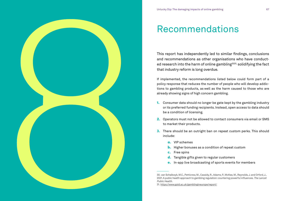<span id="page-33-0"></span>

# Recommendations

This report has independently led to similar findings, conclusions and recommendations as other organisations who have conducted research into the harm of online gambling<sup>3031,</sup> solidifying the fact that industry reform is long overdue.

If implemented, the recommendations listed below could form part of a policy response that reduces the number of people who will develop addictions to gambling products, as well as the harm caused to those who are already showing signs of high concern gambling.

- 1. Consumer data should no longer be gate kept by the gambling industry or its preferred funding recipients. Instead, open access to data should be a condition of licensing.
- 2. Operators must not be allowed to contact consumers via email or SMS to market their products.
- 3. There should be an outright ban on repeat custom perks. This should include:
	- a. VIP schemes
	- **b.** Higher bonuses as a condition of repeat custom
	- c. Free spins
	- d. Tangible gifts given to regular customers
	- e. In-app live broadcasting of sports events for members

31. <https://www.gold.ac.uk/gamblingineurope/report/>

<sup>30.</sup> van Schalkwyk, M.C., Petticrew, M., Cassidy, R., Adams, P., McKee, M., Reynolds, J. and Orford, J., 2021. A public health approach to gambling regulation: countering powerful influences.The Lancet Public Health.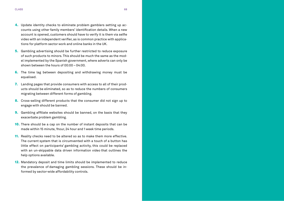- 4. Update identity checks to eliminate problem gamblers setting up ac-
- counts using other family members' identification details. When a new account is opened, customers should have to verify it is them via selfie video with an independent verifier, as is common practice with applica tions for platform sector work and online banks in the UK.
- 5. Gambling advertising should be further restricted to reduce exposure of such products to minors. This should be much the same as the mod el implemented by the Spanish government, where adverts can only be shown between the hours of 00:00 – 04:00.
- 6. The time lag between depositing and withdrawing money must be equalised.
- 7. Landing pages that provide consumers with access to all of their products should be eliminated, so as to reduce the numbers of consumers migrating between different forms of gambling.
- 8. Cross-selling different products that the consumer did not sign up to engage with should be banned.
- 9. Gambling affiliate websites should be banned, on the basis that they exacerbate problem gambling.
- 10. There should be a cap on the number of instant deposits that can be made within 15 minute, 1hour, 24 hour and 1 week time periods.
- 11. Reality checks need to be altered so as to make them more effective. The current system that is circumvented with a touch of a button has little effect on participants' gambling activity, this could be replaced with an un-skippable data driven information video that outlines the help options available.
- 12. Mandatory deposit and time limits should be implemented to reduce the prevalence of damaging gambling sessions. These should be in formed by sector-wide affordability controls.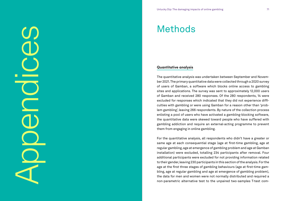#### Methods

#### **Quantitative analysis**

<span id="page-35-0"></span>Robert in 2021

 $\Box$ 

The quantitative analysis was undertaken between September and Novem ber 2021. The primary quantitative data were collected through a 2020 survey of users of Gamban, a software which blocks online access to gambling sites and applications. The survey was sent to approximately 12,000 users of Gamban and received 280 responses. Of the 280 respondents, 14 were excluded for responses which indicated that they did not experience diffi culties with gambling or were using Gamban for a reason other than 'prob lem gambling', leaving 266 respondents. By nature of the collection process enlisting a pool of users who have activated a gambling-blocking software, the quantitative data were skewed toward people who have suffered with gambling addiction and require an external-acting programme to prevent them from engaging in online gambling.

For the quantitative analysis, all respondents who didn't have a greater or same age at each consequential stage (age at first-time gambling, age at regular gambling, age at emergence of gambling problem and age at Gamban installation) were excluded, totalling 234 participants after removal. Four additional participants were excluded for not providing information related to their gender, leaving 230 participants in this section of the analysis. For the age at the first three stages of gambling behaviours (age at first-time gam bling, age at regular gambling and age at emergence of gambling problem), the data for men and women were not normally distributed and required a non-parametric alternative test to the unpaired two-samples T-test com -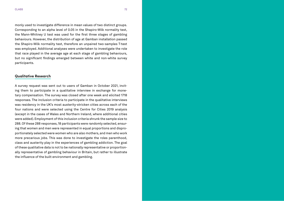monly used to investigate difference in mean values of two distinct groups. Corresponding to an alpha level of 0.05 in the Shapiro-Wilk normality test, the Mann-Whitney U test was used for the first three stages of gambling behaviours. However, the distribution of age at Gamban installation passed the Shapiro-Wilk normality test, therefore an unpaired two-samples T-test was employed. Additional analyses were undertaken to investigate the role that race played in the average age at each stage of gambling behaviours, but no significant findings emerged between white and non-white survey participants.

#### **Qualitative Research**

A survey request was sent out to users of Gamban in October 2021, invit ing them to participate in a qualitative interview in exchange for mone tary compensation. The survey was closed after one week and elicited 1718 responses. The inclusion criteria to participate in the qualitative interviews was residency in the UK's most austerity-stricken cities across each of the four nations and were selected using the Centre for Cities 2019 analysis (except in the cases of Wales and Northern Ireland, where additional cities were added). Employment of this inclusion criteria shrunk the sample size to 288. Of these 288 responses, 18 participants were randomly selected, ensur ing that women and men were represented in equal proportions and dispro portionately selected were women who are also mothers, and men who work more precarious jobs. This was done to investigate the roles parenthood, class and austerity play in the experiences of gambling addiction. The goal of these qualitative data is not to be nationally representative or proportion ally representative of gambling behaviour in Britain, but rather to illustrate the influence of the built environment and gambling.